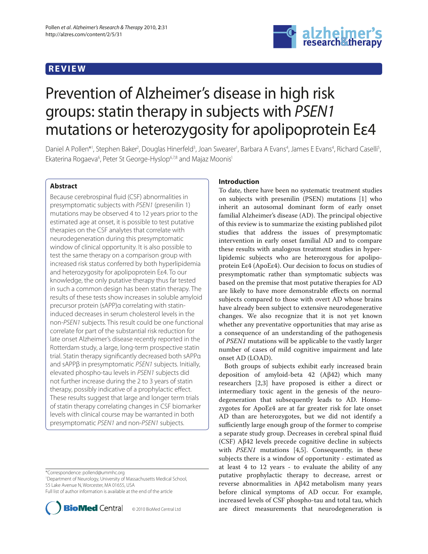## **REVIEW**



# Prevention of Alzheimer's disease in high risk groups: statin therapy in subjects with PSEN1 mutations or heterozygosity for apolipoprotein Eε4

Daniel A Pollen\*<sup>1</sup>, Stephen Baker<sup>2</sup>, Douglas Hinerfeld<sup>3</sup>, Joan Swearer<sup>1</sup>, Barbara A Evans<sup>4</sup>, James E Evans<sup>4</sup>, Richard Caselli<sup>5</sup>, Ekaterina Rogaeva<sup>6</sup>, Peter St George-Hyslop<sup>6,7,8</sup> and Majaz Moonis<sup>1</sup>

## **Abstract**

Because cerebrospinal fluid (CSF) abnormalities in presymptomatic subjects with PSEN1 (presenilin 1) mutations may be observed 4 to 12 years prior to the estimated age at onset, it is possible to test putative therapies on the CSF analytes that correlate with neurodegeneration during this presymptomatic window of clinical opportunity. It is also possible to test the same therapy on a comparison group with increased risk status conferred by both hyperlipidemia and heterozygosity for apolipoprotein Eε4. To our knowledge, the only putative therapy thus far tested in such a common design has been statin therapy. The results of these tests show increases in soluble amyloid precursor protein (sAPP)α correlating with statininduced decreases in serum cholesterol levels in the non-PSEN1 subjects. This result could be one functional correlate for part of the substantial risk reduction for late onset Alzheimer's disease recently reported in the Rotterdam study, a large, long-term prospective statin trial. Statin therapy significantly decreased both sAPPa and sAPPβ in presymptomatic PSEN1 subjects. Initially, elevated phospho-tau levels in PSEN1 subjects did not further increase during the 2 to 3 years of statin therapy, possibly indicative of a prophylactic effect. These results suggest that large and longer term trials of statin therapy correlating changes in CSF biomarker levels with clinical course may be warranted in both presymptomatic PSEN1 and non-PSEN1 subjects.

\*Correspondence: pollend@ummhc.org

1 Department of Neurology, University of Massachusetts Medical School, 55 Lake Avenue N, Worcester, MA 01655, USA Full list of author information is available at the end of the article



## **Introduction**

To date, there have been no systematic treatment studies on subjects with presenilin (PSEN) mutations [1] who inherit an autosomal dominant form of early onset familial Alzheimer's disease (AD). The principal objective of this review is to summarize the existing published pilot studies that address the issues of presymptomatic intervention in early onset familial AD and to compare these results with analogous treatment studies in hyperlipidemic subjects who are heterozygous for apolipoprotein Eε4 (ApoEε4). Our decision to focus on studies of presymptomatic rather than symptomatic subjects was based on the premise that most putative therapies for AD are likely to have more demonstrable effects on normal subjects compared to those with overt AD whose brains have already been subject to extensive neurodegenerative changes. We also recognize that it is not yet known whether any preventative opportunities that may arise as a consequence of an understanding of the pathogenesis of *PSEN1* mutations will be applicable to the vastly larger number of cases of mild cognitive impairment and late onset AD (LOAD).

Both groups of subjects exhibit early increased brain deposition of amyloid-beta  $42$  (Aβ42) which many researchers [2,3] have proposed is either a direct or intermediary toxic agent in the genesis of the neurodegeneration that subsequently leads to AD. Homozygotes for ApoEε4 are at far greater risk for late onset AD than are heterozygotes, but we did not identify a sufficiently large enough group of the former to comprise a separate study group. Decreases in cerebral spinal fluid (CSF) Aβ42 levels precede cognitive decline in subjects with *PSEN1* mutations [4,5]. Consequently, in these subjects there is a window of opportunity - estimated as at least 4 to 12 years - to evaluate the ability of any putative prophylactic therapy to decrease, arrest or reverse abnormalities in Aβ42 metabolism many years before clinical symptoms of AD occur. For example, increased levels of CSF phospho-tau and total tau, which are direct measurements that neurodegeneration is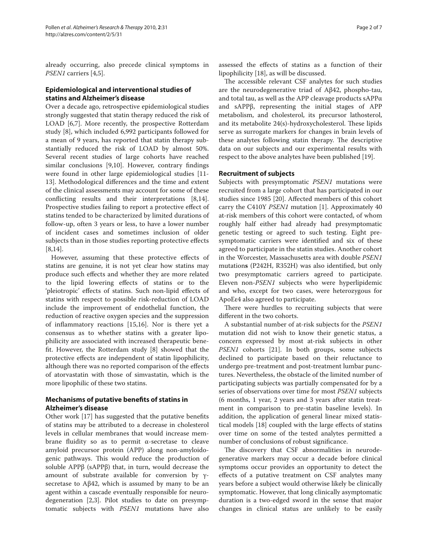already occurring, also precede clinical symptoms in *PSEN1* carriers [4,5].

## **Epidemiological and interventional studies of statins and Alzheimer's disease**

Over a decade ago, retrospective epidemiological studies strongly suggested that statin therapy reduced the risk of LOAD [6,7]. More recently, the prospective Rotterdam study [8], which included 6,992 participants followed for a mean of 9 years, has reported that statin therapy substantially reduced the risk of LOAD by almost 50%. Several recent studies of large cohorts have reached similar conclusions  $[9,10]$ . However, contrary findings were found in other large epidemiological studies [11- 13]. Methodological differences and the time and extent of the clinical assessments may account for some of these conflicting results and their interpretations  $[8,14]$ . Prospective studies failing to report a protective effect of statins tended to be characterized by limited durations of follow-up, often 3 years or less, to have a lower number of incident cases and sometimes inclusion of older subjects than in those studies reporting protective effects [8,14].

However, assuming that these protective effects of statins are genuine, it is not yet clear how statins may produce such effects and whether they are more related to the lipid lowering effects of statins or to the 'pleiotropic' effects of statins. Such non-lipid effects of statins with respect to possible risk-reduction of LOAD include the improvement of endothelial function, the reduction of reactive oxygen species and the suppression of inflammatory reactions  $[15,16]$ . Nor is there yet a consensus as to whether statins with a greater lipophilicity are associated with increased therapeutic benefit. However, the Rotterdam study [8] showed that the protective effects are independent of statin lipophilicity, although there was no reported comparison of the effects of atorvastatin with those of simvastatin, which is the more lipophilic of these two statins.

## **Mechanisms of putative benefits of statins in Alzheimer's disease**

Other work [17] has suggested that the putative benefits of statins may be attributed to a decrease in cholesterol levels in cellular membranes that would increase membrane fluidity so as to permit  $α$ -secretase to cleave amyloid precursor protein (APP) along non-amyloidogenic pathways. This would reduce the production of soluble APPβ (sAPPβ) that, in turn, would decrease the amount of substrate available for conversion by  $γ$ secretase to  $A\beta 42$ , which is assumed by many to be an agent within a cascade eventually responsible for neurodegeneration [2,3]. Pilot studies to date on presymptomatic subjects with *PSEN1* mutations have also

assessed the effects of statins as a function of their lipophilicity [18], as will be discussed.

The accessible relevant CSF analytes for such studies are the neurodegenerative triad of Aβ42, phospho-tau, and total tau, as well as the APP cleavage products sAPPα and sAPPβ, representing the initial stages of APP metabolism, and cholesterol, its precursor lathosterol, and its metabolite  $24(s)$ -hydroxycholesterol. These lipids serve as surrogate markers for changes in brain levels of these analytes following statin therapy. The descriptive data on our subjects and our experimental results with respect to the above analytes have been published [19].

## **Recruitment of subjects**

Subjects with presymptomatic *PSEN1* mutations were recruited from a large cohort that has participated in our studies since 1985 [20]. Affected members of this cohort carry the C410Y *PSEN1* mutation [1]. Approximately 40 at-risk members of this cohort were contacted, of whom roughly half either had already had presymptomatic genetic testing or agreed to such testing. Eight presymptomatic carriers were identified and six of these agreed to participate in the statin studies. Another cohort in the Worcester, Massachusetts area with double *PSEN1* mutations (P242H, R352H) was also identified, but only two presymptomatic carriers agreed to participate. Eleven non-*PSEN1* subjects who were hyperlipidemic and who, except for two cases, were heterozygous for ApoEε4 also agreed to participate.

There were hurdles to recruiting subjects that were different in the two cohorts.

A substantial number of at-risk subjects for the *PSEN1* mutation did not wish to know their genetic status, a concern expressed by most at-risk subjects in other *PSEN1* cohorts [21]. In both groups, some subjects declined to participate based on their reluctance to undergo pre-treatment and post-treatment lumbar punctures. Nevertheless, the obstacle of the limited number of participating subjects was partially compensated for by a series of observations over time for most *PSEN1* subjects (6 months, 1 year, 2 years and 3 years after statin treatment in comparison to pre-statin baseline levels). In addition, the application of general linear mixed statistical models [18] coupled with the large effects of statins over time on some of the tested analytes permitted a number of conclusions of robust significance.

The discovery that CSF abnormalities in neurodegenerative markers may occur a decade before clinical symptoms occur provides an opportunity to detect the effects of a putative treatment on CSF analytes many years before a subject would otherwise likely be clinically symptomatic. However, that long clinically asymptomatic duration is a two-edged sword in the sense that major changes in clinical status are unlikely to be easily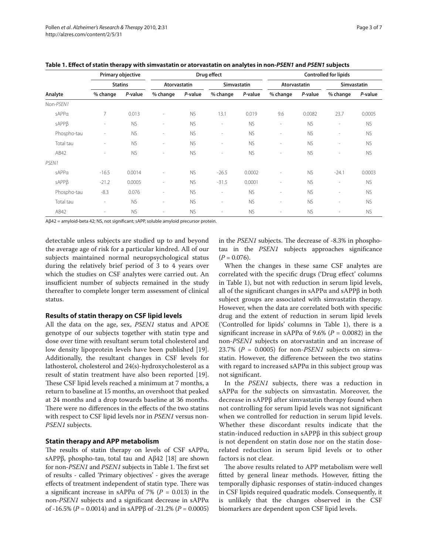| Analyte     | Primary objective<br><b>Statins</b> |           | Drug effect              |           |                          |           | <b>Controlled for lipids</b> |           |                          |           |
|-------------|-------------------------------------|-----------|--------------------------|-----------|--------------------------|-----------|------------------------------|-----------|--------------------------|-----------|
|             |                                     |           | Atorvastatin             |           | <b>Simvastatin</b>       |           | Atorvastatin                 |           | <b>Simvastatin</b>       |           |
|             | % change                            | P-value   | % change                 | P-value   | % change                 | P-value   | % change                     | P-value   | % change                 | P-value   |
| Non-PSEN1   |                                     |           |                          |           |                          |           |                              |           |                          |           |
| sAPPa       | 7                                   | 0.013     | $\sim$                   | <b>NS</b> | 13.1                     | 0.019     | 9.6                          | 0.0082    | 23.7                     | 0.0005    |
| sAPPB       | $\sim$                              | <b>NS</b> | $\sim$                   | <b>NS</b> | $\overline{\phantom{a}}$ | <b>NS</b> | $\overline{\phantom{a}}$     | <b>NS</b> | $\overline{\phantom{m}}$ | <b>NS</b> |
| Phospho-tau | $\sim$                              | <b>NS</b> | $\sim$                   | <b>NS</b> | $\overline{\phantom{a}}$ | <b>NS</b> | $\overline{\phantom{a}}$     | <b>NS</b> | $\overline{\phantom{a}}$ | <b>NS</b> |
| Total tau   |                                     | <b>NS</b> | $\sim$                   | <b>NS</b> | $\overline{\phantom{a}}$ | <b>NS</b> | $\overline{\phantom{a}}$     | <b>NS</b> | $\overline{\phantom{a}}$ | <b>NS</b> |
| AB42        | $\overline{\phantom{a}}$            | <b>NS</b> | $\sim$                   | <b>NS</b> | $\overline{\phantom{a}}$ | <b>NS</b> | $\overline{\phantom{a}}$     | <b>NS</b> | $\overline{\phantom{a}}$ | <b>NS</b> |
| PSEN1       |                                     |           |                          |           |                          |           |                              |           |                          |           |
| sAPPa       | $-16.5$                             | 0.0014    | $\overline{\phantom{a}}$ | <b>NS</b> | $-26.5$                  | 0.0002    | $\overline{\phantom{a}}$     | <b>NS</b> | $-24.1$                  | 0.0003    |
| sAPPB       | $-21.2$                             | 0.0005    | $\sim$                   | <b>NS</b> | $-31.5$                  | 0.0001    | $\overline{\phantom{a}}$     | <b>NS</b> | $\overline{\phantom{a}}$ | <b>NS</b> |
| Phospho-tau | $-8.3$                              | 0.076     | $\overline{\phantom{a}}$ | <b>NS</b> | $\overline{\phantom{a}}$ | <b>NS</b> | $\overline{\phantom{a}}$     | <b>NS</b> | $\overline{\phantom{a}}$ | <b>NS</b> |
| Total tau   | $\sim$                              | <b>NS</b> | $\sim$                   | <b>NS</b> | ٠                        | <b>NS</b> | $\sim$                       | <b>NS</b> | $\overline{\phantom{a}}$ | <b>NS</b> |
| AB42        | $\sim$                              | <b>NS</b> | $\sim$                   | <b>NS</b> | $\overline{\phantom{a}}$ | <b>NS</b> | $\overline{\phantom{a}}$     | <b>NS</b> | $\overline{\phantom{a}}$ | <b>NS</b> |

|  | Table 1. Effect of statin therapy with simvastatin or atorvastatin on analytes in non-PSEN1 and PSEN1 subjects |  |  |
|--|----------------------------------------------------------------------------------------------------------------|--|--|
|--|----------------------------------------------------------------------------------------------------------------|--|--|

Aβ42 = amyloid-beta 42; NS, not significant; sAPP, soluble amyloid precursor protein.

detectable unless subjects are studied up to and beyond the average age of risk for a particular kindred. All of our subjects maintained normal neuropsychological status during the relatively brief period of 3 to 4 years over which the studies on CSF analytes were carried out. An insufficient number of subjects remained in the study thereafter to complete longer term assessment of clinical status.

### **Results of statin therapy on CSF lipid levels**

All the data on the age, sex, *PSEN1* status and APOE genotype of our subjects together with statin type and dose over time with resultant serum total cholesterol and low density lipoprotein levels have been published [19]. Additionally, the resultant changes in CSF levels for lathosterol, cholesterol and 24(s)-hydroxycholesterol as a result of statin treatment have also been reported [19]. These CSF lipid levels reached a minimum at 7 months, a return to baseline at 15 months, an overshoot that peaked at 24 months and a drop towards baseline at 36 months. There were no differences in the effects of the two statins with respect to CSF lipid levels nor in *PSEN1* versus non-*PSEN1* subjects.

#### **Statin therapy and APP metabolism**

The results of statin therapy on levels of  $CSF$  sAPP $\alpha$ , sAPPβ, phospho-tau, total tau and Aβ42 [18] are shown for non-PSEN1 and PSEN1 subjects in Table 1. The first set of results - called 'Primary objectives' - gives the average effects of treatment independent of statin type. There was a significant increase in sAPP $\alpha$  of 7% ( $P = 0.013$ ) in the non-*PSEN1* subjects and a significant decrease in sAPPα of -16.5% (*P* = 0.0014) and in sAPPβ of -21.2% (*P* = 0.0005) in the *PSEN1* subjects. The decrease of -8.3% in phosphotau in the *PSEN1* subjects approaches significance  $(P = 0.076)$ .

When the changes in these same CSF analytes are correlated with the specific drugs ('Drug effect' columns in Table 1), but not with reduction in serum lipid levels, all of the significant changes in sAPP $\alpha$  and sAPP $\beta$  in both subject groups are associated with simvastatin therapy. However, when the data are correlated both with specific drug and the extent of reduction in serum lipid levels ('Controlled for lipids' columns in Table 1), there is a significant increase in sAPP $\alpha$  of 9.6% ( $P = 0.0082$ ) in the non-*PSEN1* subjects on atorvastatin and an increase of 23.7% ( $P = 0.0005$ ) for non-*PSEN1* subjects on simvastatin. However, the difference between the two statins with regard to increased sAPP $\alpha$  in this subject group was not significant.

In the *PSEN1* subjects, there was a reduction in sAPPα for the subjects on simvastatin. Moreover, the decrease in sAPPβ after simvastatin therapy found when not controlling for serum lipid levels was not significant when we controlled for reduction in serum lipid levels. Whether these discordant results indicate that the statin-induced reduction in sAPPβ in this subject group is not dependent on statin dose nor on the statin doserelated reduction in serum lipid levels or to other factors is not clear.

The above results related to APP metabolism were well fitted by general linear methods. However, fitting the temporally diphasic responses of statin-induced changes in CSF lipids required quadratic models. Consequently, it is unlikely that the changes observed in the CSF biomarkers are dependent upon CSF lipid levels.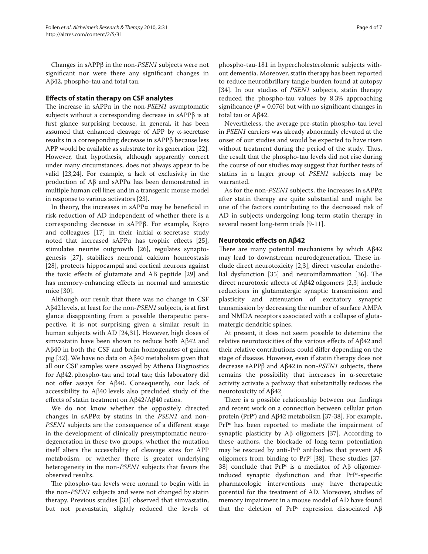Changes in sAPPβ in the non-*PSEN1* subjects were not significant nor were there any significant changes in Aβ42, phospho-tau and total tau.

## **Eff ects of statin therapy on CSF analytes**

The increase in sAPP $\alpha$  in the non-*PSEN1* asymptomatic subjects without a corresponding decrease in sAPPβ is at first glance surprising because, in general, it has been assumed that enhanced cleavage of APP by α-secretase results in a corresponding decrease in sAPPβ because less APP would be available as substrate for its generation [22]. However, that hypothesis, although apparently correct under many circumstances, does not always appear to be valid [23,24]. For example, a lack of exclusivity in the production of Aβ and sAPPα has been demonstrated in multiple human cell lines and in a transgenic mouse model in response to various activators [23].

In theory, the increases in sAPP $\alpha$  may be beneficial in risk-reduction of AD independent of whether there is a corresponding decrease in sAPPβ. For example, Kojro and colleagues [17] in their initial  $\alpha$ -secretase study noted that increased sAPP $\alpha$  has trophic effects [25], stimulates neurite outgrowth [26], regulates synaptogenesis [27], stabilizes neuronal calcium homeostasis [28], protects hippocampal and cortical neurons against the toxic effects of glutamate and AB peptide [29] and has memory-enhancing effects in normal and amnestic mice [30].

Although our result that there was no change in CSF Aβ42 levels, at least for the non-*PSEN1* subjects, is at first glance disappointing from a possible therapeutic perspective, it is not surprising given a similar result in human subjects with AD [24,31]. However, high doses of simvastatin have been shown to reduce both Aβ42 and Aβ40 in both the CSF and brain homogenates of guinea pig [32]. We have no data on Aβ40 metabolism given that all our CSF samples were assayed by Athena Diagnostics for Aβ42, phospho-tau and total tau; this laboratory did not offer assays for Aβ40. Consequently, our lack of accessibility to Aβ40 levels also precluded study of the effects of statin treatment on  $A\beta42/A\beta40$  ratios.

We do not know whether the oppositely directed changes in sAPPα by statins in the *PSEN1* and non-*PSEN1* subjects are the consequence of a different stage in the development of clinically presymptomatic neurodegeneration in these two groups, whether the mutation itself alters the accessibility of cleavage sites for APP metabolism, or whether there is greater underlying heterogeneity in the non-*PSEN1* subjects that favors the observed results.

The phospho-tau levels were normal to begin with in the non-*PSEN1* subjects and were not changed by statin therapy. Previous studies [33] observed that simvastatin, but not pravastatin, slightly reduced the levels of phospho-tau-181 in hypercholesterolemic subjects without dementia. Moreover, statin therapy has been reported to reduce neurofibrillary tangle burden found at autopsy [34]. In our studies of *PSEN1* subjects, statin therapy reduced the phospho-tau values by 8.3% approaching significance ( $P = 0.076$ ) but with no significant changes in total tau or Aβ42.

Nevertheless, the average pre-statin phospho-tau level in *PSEN1* carriers was already abnormally elevated at the onset of our studies and would be expected to have risen without treatment during the period of the study. Thus, the result that the phospho-tau levels did not rise during the course of our studies may suggest that further tests of statins in a larger group of *PSEN1* subjects may be warranted.

As for the non-*PSEN1* subjects, the increases in sAPPα after statin therapy are quite substantial and might be one of the factors contributing to the decreased risk of AD in subjects undergoing long-term statin therapy in several recent long-term trials [9-11].

### **Neurotoxic effects on Aβ42**

There are many potential mechanisms by which Aβ42 may lead to downstream neurodegeneration. These include direct neurotoxicity  $[2,3]$ , direct vascular endothelial dysfunction  $[35]$  and neuroinflammation  $[36]$ . The direct neurotoxic affects of Aβ42 oligomers [2,3] include reductions in glutamatergic synaptic transmission and plasticity and attenuation of excitatory synaptic transmission by decreasing the number of surface AMPA and NMDA receptors associated with a collapse of glutamatergic dendritic spines.

At present, it does not seem possible to detemine the relative neurotoxicities of the various effects of Aβ42 and their relative contributions could differ depending on the stage of disease. However, even if statin therapy does not decrease sAPPβ and Aβ42 in non-*PSEN1* subjects, there remains the possibility that increases in α-secretase activity activate a pathway that substantially reduces the neurotoxicity of Aβ42.

There is a possible relationship between our findings and recent work on a connection between cellular prion protein (PrPc ) and Aβ42 metabolism [37-38]. For example, PrP<sup>c</sup> has been reported to mediate the impairment of synaptic plasticity by Aβ oligomers [37]. According to these authors, the blockade of long-term potentiation may be rescued by anti-PrP antibodies that prevent  $Aβ$ oligomers from binding to  $PrP^c$  [38]. These studies [37-38] conclude that PrP<sup>c</sup> is a mediator of Aβ oligomerinduced synaptic dysfunction and that  $PrP^c$ -specific pharmacologic interventions may have therapeutic potential for the treatment of AD. Moreover, studies of memory impairment in a mouse model of AD have found that the deletion of PrP<sup>c</sup> expression dissociated Aβ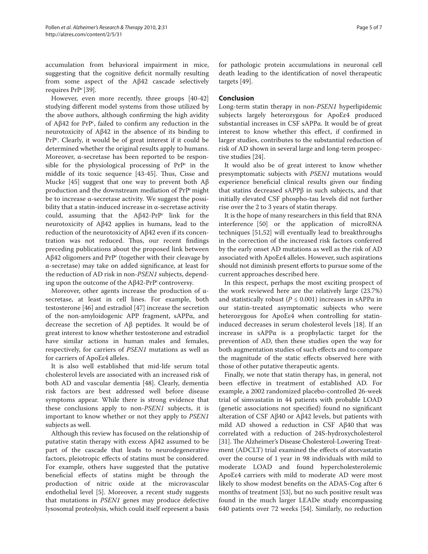accumulation from behavioral impairment in mice, suggesting that the cognitive deficit normally resulting from some aspect of the Aβ42 cascade selectively requires  $PrP^{c}$  [39].

However, even more recently, three groups [40-42] studying different model systems from those utilized by the above authors, although confirming the high avidity of Aβ42 for PrP<sup>c</sup>, failed to confirm any reduction in the neurotoxicity of Aβ42 in the absence of its binding to PrPc . Clearly, it would be of great interest if it could be determined whether the original results apply to humans. Moreover, α-secretase has been reported to be responsible for the physiological processing of  $PrP^c$  in the middle of its toxic sequence [43-45]. Thus, Cisse and Mucke [45] suggest that one way to prevent both  $\text{A}\beta$ production and the downstream mediation of PrPc might be to increase α-secretase activity. We suggest the possibility that a statin-induced increase in  $\alpha$ -secretase activity could, assuming that the Aβ42-PrPc link for the neurotoxicity of Aβ42 applies in humans, lead to the reduction of the neurotoxicity of Aβ42 even if its concentration was not reduced. Thus, our recent findings preceding publications about the proposed link between Aβ42 oligomers and  $Pr<sup>pc</sup>$  (together with their cleavage by  $\alpha$ -secretase) may take on added significance, at least for the reduction of AD risk in non-*PSEN1* subjects, depending upon the outcome of the  $A\beta42-PrP^c$  controversy.

Moreover, other agents increase the production of  $\alpha$ secretase, at least in cell lines. For example, both testosterone [46] and estradiol [47] increase the secretion of the non-amyloidogenic APP fragment, sAPPα, and decrease the secretion of Aβ peptides. It would be of great interest to know whether testosterone and estradiol have similar actions in human males and females, respectively, for carriers of *PSEN1* mutations as well as for carriers of ApoEε4 alleles.

It is also well established that mid-life serum total cholesterol levels are associated with an increased risk of both AD and vascular dementia [48]. Clearly, dementia risk factors are best addressed well before disease symptoms appear. While there is strong evidence that these conclusions apply to non-*PSEN1* subjects, it is important to know whether or not they apply to *PSEN1* subjects as well.

Although this review has focused on the relationship of putative statin therapy with excess Aβ42 assumed to be part of the cascade that leads to neurodegenerative factors, pleiotropic effects of statins must be considered. For example, others have suggested that the putative beneficial effects of statins might be through the production of nitric oxide at the microvascular endothelial level [5]. Moreover, a recent study suggests that mutations in *PSEN1* genes may produce defective lysosomal proteolysis, which could itself represent a basis

for pathologic protein accumulations in neuronal cell death leading to the identification of novel therapeutic targets [49].

#### **Conclusion**

Long-term statin therapy in non-*PSEN1* hyperlipidemic subjects largely heterozygous for ApoEε4 produced substantial increases in CSF sAPPα. It would be of great interest to know whether this effect, if confirmed in larger studies, contributes to the substantial reduction of risk of AD shown in several large and long-term prospective studies [24].

It would also be of great interest to know whether presymptomatic subjects with *PSEN1* mutations would experience beneficial clinical results given our finding that statins decreased sAPPβ in such subjects, and that initially elevated CSF phospho-tau levels did not further rise over the 2 to 3 years of statin therapy.

It is the hope of many researchers in this field that RNA interference [50] or the application of microRNA techniques [51,52] will eventually lead to breakthroughs in the correction of the increased risk factors conferred by the early onset AD mutations as well as the risk of AD associated with ApoEε4 alleles. However, such aspirations should not diminish present efforts to pursue some of the current approaches described here.

In this respect, perhaps the most exciting prospect of the work reviewed here are the relatively large (23.7%) and statistically robust (*Ρ* ≤ 0.001) increases in sAPPα in our statin-treated asymptomatic subjects who were heterozygous for ApoEε4 when controlling for statininduced decreases in serum cholesterol levels [18]. If an increase in  $sAPP\alpha$  is a prophylactic target for the prevention of AD, then these studies open the way for both augmentation studies of such effects and to compare the magnitude of the static effects observed here with those of other putative therapeutic agents.

Finally, we note that statin therapy has, in general, not been effective in treatment of established AD. For example, a 2002 randomized placebo-controlled 26-week trial of simvastatin in 44 patients with probable LOAD (genetic associations not specified) found no significant alteration of CSF Aβ40 or Aβ42 levels, but patients with mild AD showed a reduction in CSF Aβ40 that was correlated with a reduction of 24S-hydroxycholesterol [31]. The Alzheimer's Disease Cholesterol-Lowering Treatment (ADCLT) trial examined the effects of atorvastatin over the course of 1 year in 98 individuals with mild to moderate LOAD and found hypercholesterolemic ApoEε4 carriers with mild to moderate AD were most likely to show modest benefits on the ADAS-Cog after 6 months of treatment [53], but no such positive result was found in the much larger LEADe study encompassing 640 patients over 72 weeks [54]. Similarly, no reduction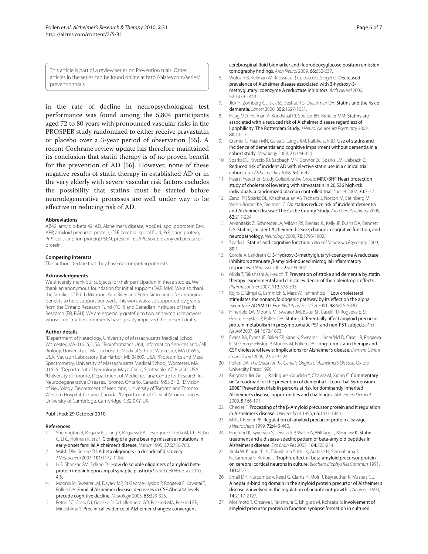This article is part of a review series on Prevention trials. Other articles in the series can be found online at http://alzres.com/series/ preventiontrials

in the rate of decline in neuropsychological test performance was found among the 5,804 participants aged 72 to 80 years with pronounced vascular risks in the PROSPER study randomized to either receive pravastatin or placebo over a 3-year period of observation [55]. A recent Cochrane review update has therefore maintained its conclusion that statin therapy is of no proven benefit for the prevention of AD [56]. However, none of these negative results of statin therapy in established AD or in the very elderly with severe vascular risk factors excludes the possibility that statins must be started before neurodegenerative processes are well under way to be effective in reducing risk of AD.

#### **Abbreviations**

Aβ42, amyloid-beta 42; AD, Alzheimer's disease; ApoEε4, apolipoprotein Eε4; APP, amyloid precursor protein; CSF, cerebral spinal fluid; PrP, prion protein; PrP<sup>c</sup>, cellular prion protein; PSEN, presenilin; sAPP, soluble amyloid precursor protein.

#### **Competing interests**

The authors declare that they have no competing interests.

#### **Acknowledgments**

We sincerely thank our subjects for their participation in these studies. We thank an anonymous foundation for initial support (DAP, MM). We also thank the families of Edith Marrone, Paul Riley and Peter Simmarano for arranging benefits to help support our work. This work was also supported by grants from the Ontario Research Fund (PGH) and Canadian Institutes of Health Research (ER, PGH). We are especially grateful to two anonymous reviewers whose constructive comments have greatly improved the present drafts.

#### **Author details**

1 Department of Neurology, University of Massachusetts Medical School, Worcester, MA 01655, USA. <sup>2</sup> Bioinformatics Unit, Information Services and Cell Biology, University of Massachusetts Medical School, Worcester, MA 01655, USA.<sup>3</sup> Jackson Laboratory, Bar Harbor, ME 04609, USA. <sup>4</sup>Proteomics and Mass Spectrometry, University of Massachusetts Medical School, Worcester, MA 01655. <sup>5</sup>Department of Neurology, Mayo Clinic, Scottsdale, AZ 85250, USA.<br><sup>6</sup>Llniversity of Toronto, Department of Medicine, Tanz Centre for Besearch in University of Toronto, Department of Medicine, Tanz Centre for Research in Neurodegenerative Diseases, Toronto, Ontario, Canada, M5S 3H2. 7 Division of Neurology, Department of Medicine, University of Toronto and Toronto Western Hospital, Ontario, Canada. <sup>8</sup>Department of Clinical Neurosciences, University of Cambridge, Cambridge, CB2 0XY, UK.

#### Published: 29 October 2010

#### **References**

- 1. Sherrington R, Rogaev El, Liang Y, Rogaeva EA, Levesque G, Ikeda M, Chi H, Lin C, Li G, Holman K, et al.: Cloning of a gene bearing missense mutations in early-onset familial Alzheimer's disease. Nature 1995, 375:756-760.
- 2. Walsh, DM, Selkoe DJ: A beta oligomers a decade of discovery. J Neurochem 2007, 101:1172-1184.
- 3. Li S, Shankar GM, Selkoe DJ: How do soluble oligomers of amyloid betaprotein impair hippocampal synaptic plasticity? Front Cell Neurosci 2010, 4:5.
- 4. Moonis M, Swearer JM, Dayaw MP, St George-Hyslop P, Rogaeva E, Kawarai T, Pollen DA: Familial Alzheimer disease: decreases in CSF Abeta42 levels precede cognitive decline. Neurology 2005, 65:323-325.
- 5. Petrie EC, Cross DJ, Galasko D, Schellenberg GD, Raskind MA, Peskind ER, Minoshima S: Preclinical evidence of Alzheimer changes: convergent

cerebrospinal fluid biomarker and fluorodeoxyglucose positron emission tomography findings. Arch Neurol 2009, 66:632-637.

- 6. Wolozin B, Kellman W, Ruosseau P, Celesia GG, Siegel G: Decreased prevalence of Alzheimer disease associated with 3-hydroxy-3 methyglutaryl coenzyme A reductase inhibitors. Arch Neurol 2000, 57:1439-1443.
- 7. Jick H, Zornberg GL, Jick SS, Seshadri S, Drachman DA: Statins and the risk of dementia. Lancet 2000, 356:1627-1631.
- 8. Haag MD, Hofman A, Koudstaal PJ, Stricker BH, Breteler MM: Statins are associated with a reduced risk of Alzheimer disease regardless of lipophilicity. The Rotterdam Study. J Neurol Neurosurg Psychiatry 2009, 80:13-17.
- 9. Cramer C, Haan MN, Galea S, Langa KM, Kalbfleisch JD: Use of statins and incidence of dementia and cognitive impairment without dementia in a cohort study. Neurology 2008, 71:344-350.
- 10. Sparks DL, Kryscio RJ, Sabbagh MN, Connor DJ, Sparks LM, Liebsack C: Reduced risk of incident AD with elective statin use in a clinical trial cohort. Curr Alzheimer Res 2008, 5:416-421.
- 11. Heart Protection Study Collaborative Group: MRC/BHF Heart protection study of cholesterol lowering with simvastatin in 20,536 high-rsk individuals: a randomized placebo controlled trial. Lancet 2002, 30:7-22.
- 12. Zandi PP, Sparks DL, Khachaturian AS, Tschanz J, Norton M, Steinberg M, Welsh-Bomer KA, Breitner JC: Do statins reduce risk of incident dementia and Alzheimer disease? The Cache County Study. Arch Gen Psychiatry 2005, 62:217-224.
- 13. Arvanitakis Z, Schneider JA, Wilson RS, Bienias JL, Kelly JF, Evans DA, Bennett DA: Statins, incident Alzheimer disease, change in cognitive function, and neuropathology. Neurology 2008, 70:1795-1802.
- 14. Sparks L: Statins and cognitive function. J Neurol Neurosurg Psychiatry 2009, 80:1.
- 15. Cordle A, Landreth G: 3-Hydroxy-3-methylglutaryl-coenzyme A reductase inhibitors attenuate  $\beta$ -amyloid-induced microglial inflammatory responses. J Neurosci 2005, 25:299-307.
- 16. Miida T, Takahashi A, Ikeuchi T: Prevention of stroke and dementia by statin therapy: experimental and clinical evidence of their pleiotropic effects. Pharmacol Ther 2007, 113:378-393.
- 17. Kojro E, Gimpl G, Lammich S, Marz W, Fahrenholz F: Low cholesterol stimulates the nonamyloidogenic pathway by its effect on the alpha -secretase ADAM 10. Proc Natl Acad Sci U S A 2001, 98:5815-5820.
- 18. Hinerfeld DA, Moonis M, Swearer JM, Baker SP, Caselli RJ, Rogaeva E, St George-Hyslop P, Pollen DA: Statins differentially affect amyloid precursor protein metabolism in presymptomatic PS1 and non-PS1 subjects. Arch Neurol 2007, 64:1672-1673.
- 19. Evans BA, Evans JE, Baker SP, Kane K, Swearer J, Hinerfeld D, Caselli R, Rogaeva E, St George-Hyslop P, Moonis M, Pollen DA: Long-term statin therapy and CSF cholesterol levels: implications for Alzheimer's disease. Dement Geriatr Cogn Disord 2009, 27:519-524.
- 20. Pollen DA: The Quest for the Genetic Origins of Alzheimer's Disease. Oxford University Press; 1996.
- 21. Ringman JM, Grill J, Rodriguez-Agudelo Y, Chavez M, Xiong C: Commentary on "a roadmap for the prevention of dementia II: Leon Thal Symposium 2008." Prevention trials in persons at risk for dominantly inherited Alzheimer's disease: opportunities and challenges. Alzheimers Dement 2009, 5:166-171.
- 22. Checler F: Processing of the β-Amyloid precursor protein and it regulation in Alzheimer's disease. J Neurochem 1995, 65:1431-1444.
- 23. Mills J, Reiner PB: Regulation of amyloid precursor protein cleavage. J Neurochem 1999, 72:443-460.
- 24. Hoglund K, Syversen S, Lewczuk P, Wallin A, Wiltfang J, Blennow K: Statin treatment and a disease-specific pattern of beta-amyloid peptides in Alzheimer's disease. Exp Brain Res 2005, 164:205-214.
- 25. Araki W, Kitaguchi N, Tokushima Y, Ishii K, Aratake H, Shimohama S, Nakamurua S, Kimura J: Trophic effect of beta-amyloid precursor protein on cerebral cortical neurons in culture. Biochem Biophys Res Commun 1991, 181:25-71.
- 26. Small DH, Nurcombe V, Reed G, Clarris H, Moir R, Beyreuther K, Masters CL: A heparin-binding domain in the amyloid protein precursor of Alzheimer's disease is involved in the regulation of neurite outgrowth. *J Neurosci* 1994, 14:2117-2127.
- 27. Morimoto T, Ohsawa I, Takamura C, Ishiguro M, Kohsaka S: Involvement of amyloid precursor protein in function synapse formation in cultured